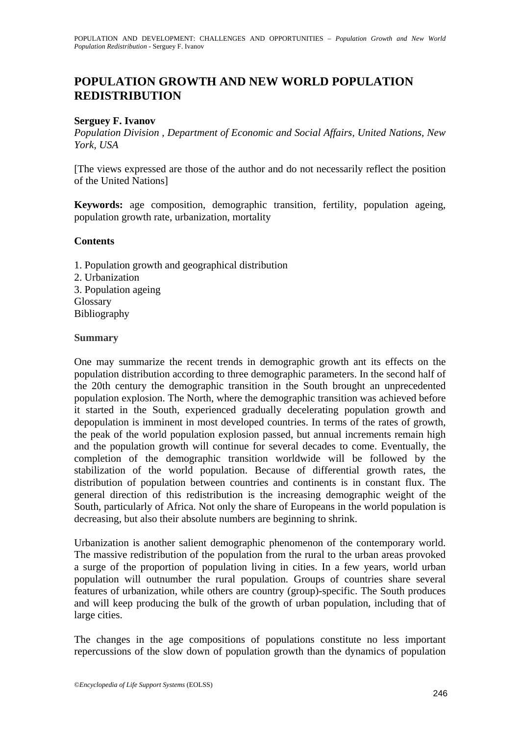# **POPULATION GROWTH AND NEW WORLD POPULATION REDISTRIBUTION**

## **Serguey F. Ivanov**

*Population Division , Department of Economic and Social Affairs, United Nations, New York, USA* 

[The views expressed are those of the author and do not necessarily reflect the position of the United Nations]

**Keywords:** age composition, demographic transition, fertility, population ageing, population growth rate, urbanization, mortality

### **Contents**

- 1. Population growth and geographical distribution 2. Urbanization 3. Population ageing
- Glossary
- Bibliography

#### **Summary**

One may summarize the recent trends in demographic growth ant its effects on the population distribution according to three demographic parameters. In the second half of the 20th century the demographic transition in the South brought an unprecedented population explosion. The North, where the demographic transition was achieved before it started in the South, experienced gradually decelerating population growth and depopulation is imminent in most developed countries. In terms of the rates of growth, the peak of the world population explosion passed, but annual increments remain high and the population growth will continue for several decades to come. Eventually, the completion of the demographic transition worldwide will be followed by the stabilization of the world population. Because of differential growth rates, the distribution of population between countries and continents is in constant flux. The general direction of this redistribution is the increasing demographic weight of the South, particularly of Africa. Not only the share of Europeans in the world population is decreasing, but also their absolute numbers are beginning to shrink.

Urbanization is another salient demographic phenomenon of the contemporary world. The massive redistribution of the population from the rural to the urban areas provoked a surge of the proportion of population living in cities. In a few years, world urban population will outnumber the rural population. Groups of countries share several features of urbanization, while others are country (group)-specific. The South produces and will keep producing the bulk of the growth of urban population, including that of large cities.

The changes in the age compositions of populations constitute no less important repercussions of the slow down of population growth than the dynamics of population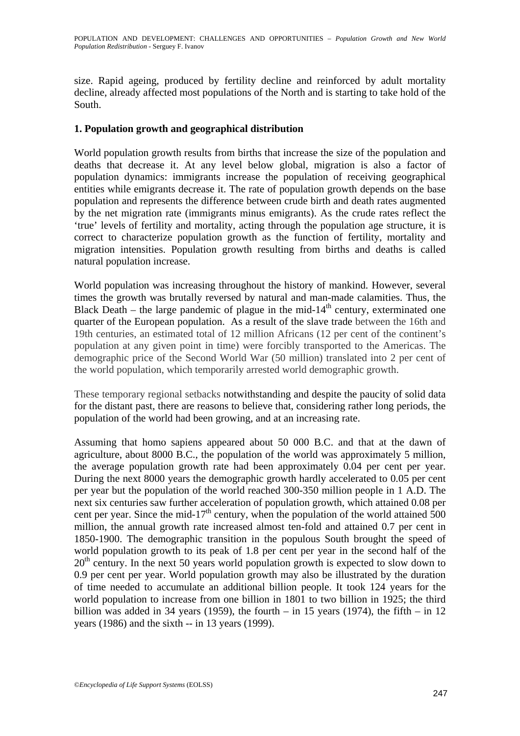size. Rapid ageing, produced by fertility decline and reinforced by adult mortality decline, already affected most populations of the North and is starting to take hold of the South.

# **1. Population growth and geographical distribution**

World population growth results from births that increase the size of the population and deaths that decrease it. At any level below global, migration is also a factor of population dynamics: immigrants increase the population of receiving geographical entities while emigrants decrease it. The rate of population growth depends on the base population and represents the difference between crude birth and death rates augmented by the net migration rate (immigrants minus emigrants). As the crude rates reflect the 'true' levels of fertility and mortality, acting through the population age structure, it is correct to characterize population growth as the function of fertility, mortality and migration intensities. Population growth resulting from births and deaths is called natural population increase.

World population was increasing throughout the history of mankind. However, several times the growth was brutally reversed by natural and man-made calamities. Thus, the Black Death – the large pandemic of plague in the mid-14<sup>th</sup> century, exterminated one quarter of the European population. As a result of the slave trade between the 16th and 19th centuries, an estimated total of 12 million Africans (12 per cent of the continent's population at any given point in time) were forcibly transported to the Americas. The demographic price of the Second World War (50 million) translated into 2 per cent of the world population, which temporarily arrested world demographic growth.

These temporary regional setbacks notwithstanding and despite the paucity of solid data for the distant past, there are reasons to believe that, considering rather long periods, the population of the world had been growing, and at an increasing rate.

Assuming that homo sapiens appeared about 50 000 B.C. and that at the dawn of agriculture, about 8000 B.C., the population of the world was approximately 5 million, the average population growth rate had been approximately 0.04 per cent per year. During the next 8000 years the demographic growth hardly accelerated to 0.05 per cent per year but the population of the world reached 300-350 million people in 1 A.D. The next six centuries saw further acceleration of population growth, which attained 0.08 per cent per year. Since the mid-17<sup>th</sup> century, when the population of the world attained 500 million, the annual growth rate increased almost ten-fold and attained 0.7 per cent in 1850-1900. The demographic transition in the populous South brought the speed of world population growth to its peak of 1.8 per cent per year in the second half of the  $20<sup>th</sup>$  century. In the next 50 years world population growth is expected to slow down to 0.9 per cent per year. World population growth may also be illustrated by the duration of time needed to accumulate an additional billion people. It took 124 years for the world population to increase from one billion in 1801 to two billion in 1925; the third billion was added in 34 years (1959), the fourth – in 15 years (1974), the fifth – in 12 years (1986) and the sixth -- in 13 years (1999).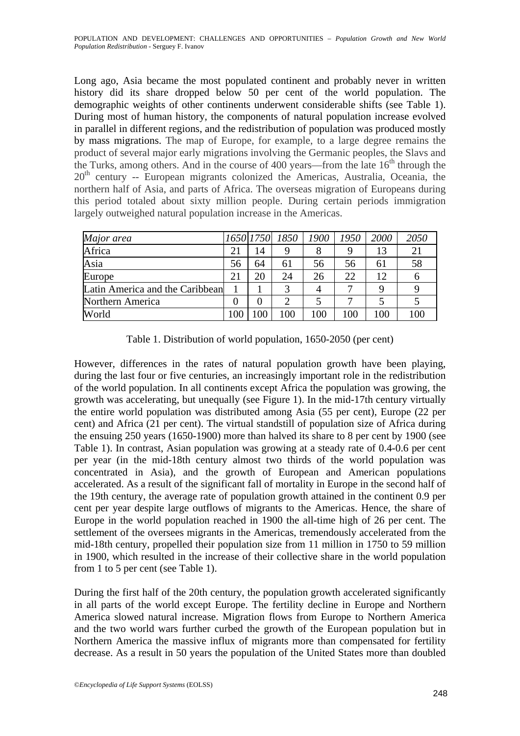Long ago, Asia became the most populated continent and probably never in written history did its share dropped below 50 per cent of the world population. The demographic weights of other continents underwent considerable shifts (see Table 1). During most of human history, the components of natural population increase evolved in parallel in different regions, and the redistribution of population was produced mostly by mass migrations. The map of Europe, for example, to a large degree remains the product of several major early migrations involving the Germanic peoples, the Slavs and the Turks, among others. And in the course of 400 years—from the late  $16<sup>th</sup>$  through the  $20<sup>th</sup>$  century -- European migrants colonized the Americas, Australia, Oceania, the northern half of Asia, and parts of Africa. The overseas migration of Europeans during this period totaled about sixty million people. During certain periods immigration largely outweighed natural population increase in the Americas.

| Major area                      |    |    | 1650   1750   1850   1900 |     | 1950 | 2000 | 2050 |
|---------------------------------|----|----|---------------------------|-----|------|------|------|
| Africa                          | 21 | 14 |                           | 8   | 9    | 13   | 21   |
| Asia                            | 56 | 64 | 61                        | 56  | 56   | 61   | 58   |
| Europe                          | 21 | 20 | 24                        | 26  | 22   | 12   | h    |
| Latin America and the Caribbean |    |    |                           |     |      |      |      |
| Northern America                | 0  |    |                           |     |      |      |      |
| World                           |    |    | 100                       | 100 | 100  | 100  | 100  |

Table 1. Distribution of world population, 1650-2050 (per cent)

However, differences in the rates of natural population growth have been playing, during the last four or five centuries, an increasingly important role in the redistribution of the world population. In all continents except Africa the population was growing, the growth was accelerating, but unequally (see Figure 1). In the mid-17th century virtually the entire world population was distributed among Asia (55 per cent), Europe (22 per cent) and Africa (21 per cent). The virtual standstill of population size of Africa during the ensuing 250 years (1650-1900) more than halved its share to 8 per cent by 1900 (see Table 1). In contrast, Asian population was growing at a steady rate of 0.4-0.6 per cent per year (in the mid-18th century almost two thirds of the world population was concentrated in Asia), and the growth of European and American populations accelerated. As a result of the significant fall of mortality in Europe in the second half of the 19th century, the average rate of population growth attained in the continent 0.9 per cent per year despite large outflows of migrants to the Americas. Hence, the share of Europe in the world population reached in 1900 the all-time high of 26 per cent. The settlement of the oversees migrants in the Americas, tremendously accelerated from the mid-18th century, propelled their population size from 11 million in 1750 to 59 million in 1900, which resulted in the increase of their collective share in the world population from 1 to 5 per cent (see Table 1).

During the first half of the 20th century, the population growth accelerated significantly in all parts of the world except Europe. The fertility decline in Europe and Northern America slowed natural increase. Migration flows from Europe to Northern America and the two world wars further curbed the growth of the European population but in Northern America the massive influx of migrants more than compensated for fertility decrease. As a result in 50 years the population of the United States more than doubled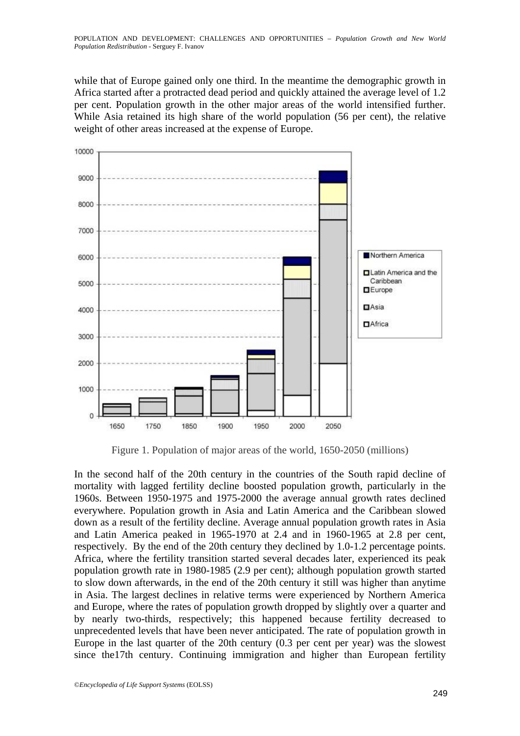while that of Europe gained only one third. In the meantime the demographic growth in Africa started after a protracted dead period and quickly attained the average level of 1.2 per cent. Population growth in the other major areas of the world intensified further. While Asia retained its high share of the world population (56 per cent), the relative weight of other areas increased at the expense of Europe.



Figure 1. Population of major areas of the world, 1650-2050 (millions)

In the second half of the 20th century in the countries of the South rapid decline of mortality with lagged fertility decline boosted population growth, particularly in the 1960s. Between 1950-1975 and 1975-2000 the average annual growth rates declined everywhere. Population growth in Asia and Latin America and the Caribbean slowed down as a result of the fertility decline. Average annual population growth rates in Asia and Latin America peaked in 1965-1970 at 2.4 and in 1960-1965 at 2.8 per cent, respectively. By the end of the 20th century they declined by 1.0-1.2 percentage points. Africa, where the fertility transition started several decades later, experienced its peak population growth rate in 1980-1985 (2.9 per cent); although population growth started to slow down afterwards, in the end of the 20th century it still was higher than anytime in Asia. The largest declines in relative terms were experienced by Northern America and Europe, where the rates of population growth dropped by slightly over a quarter and by nearly two-thirds, respectively; this happened because fertility decreased to unprecedented levels that have been never anticipated. The rate of population growth in Europe in the last quarter of the 20th century (0.3 per cent per year) was the slowest since the17th century. Continuing immigration and higher than European fertility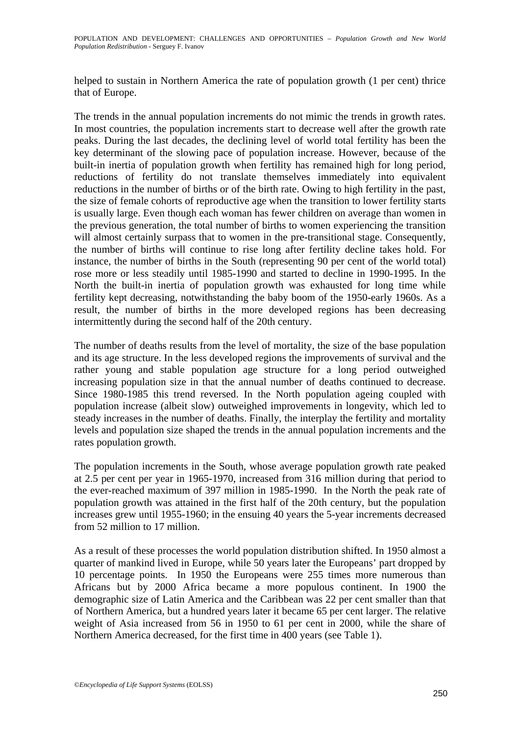helped to sustain in Northern America the rate of population growth (1 per cent) thrice that of Europe.

The trends in the annual population increments do not mimic the trends in growth rates. In most countries, the population increments start to decrease well after the growth rate peaks. During the last decades, the declining level of world total fertility has been the key determinant of the slowing pace of population increase. However, because of the built-in inertia of population growth when fertility has remained high for long period, reductions of fertility do not translate themselves immediately into equivalent reductions in the number of births or of the birth rate. Owing to high fertility in the past, the size of female cohorts of reproductive age when the transition to lower fertility starts is usually large. Even though each woman has fewer children on average than women in the previous generation, the total number of births to women experiencing the transition will almost certainly surpass that to women in the pre-transitional stage. Consequently, the number of births will continue to rise long after fertility decline takes hold. For instance, the number of births in the South (representing 90 per cent of the world total) rose more or less steadily until 1985-1990 and started to decline in 1990-1995. In the North the built-in inertia of population growth was exhausted for long time while fertility kept decreasing, notwithstanding the baby boom of the 1950-early 1960s. As a result, the number of births in the more developed regions has been decreasing intermittently during the second half of the 20th century.

The number of deaths results from the level of mortality, the size of the base population and its age structure. In the less developed regions the improvements of survival and the rather young and stable population age structure for a long period outweighed increasing population size in that the annual number of deaths continued to decrease. Since 1980-1985 this trend reversed. In the North population ageing coupled with population increase (albeit slow) outweighed improvements in longevity, which led to steady increases in the number of deaths. Finally, the interplay the fertility and mortality levels and population size shaped the trends in the annual population increments and the rates population growth.

The population increments in the South, whose average population growth rate peaked at 2.5 per cent per year in 1965-1970, increased from 316 million during that period to the ever-reached maximum of 397 million in 1985-1990. In the North the peak rate of population growth was attained in the first half of the 20th century, but the population increases grew until 1955-1960; in the ensuing 40 years the 5-year increments decreased from 52 million to 17 million.

As a result of these processes the world population distribution shifted. In 1950 almost a quarter of mankind lived in Europe, while 50 years later the Europeans' part dropped by 10 percentage points. In 1950 the Europeans were 255 times more numerous than Africans but by 2000 Africa became a more populous continent. In 1900 the demographic size of Latin America and the Caribbean was 22 per cent smaller than that of Northern America, but a hundred years later it became 65 per cent larger. The relative weight of Asia increased from 56 in 1950 to 61 per cent in 2000, while the share of Northern America decreased, for the first time in 400 years (see Table 1).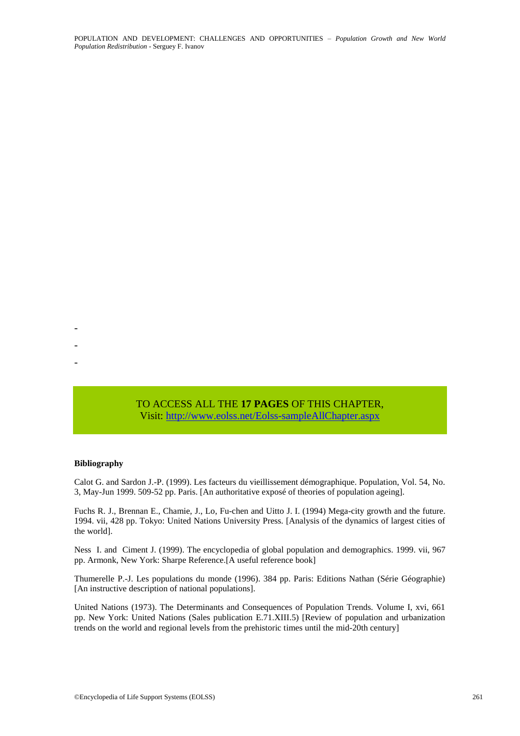TO ACCESS ALL THE **17 PAGES** OF THIS CHAPTER, Visit[:](https://www.eolss.net/ebooklib/sc_cart.aspx?File=E1-13-04-01) <http://www.eolss.net/Eolss-sampleAllChapter.aspx>

#### **Bibliography**

- - -

Calot G. and Sardon J.-P. (1999). Les facteurs du vieillissement démographique. Population, Vol. 54, No. 3, May-Jun 1999. 509-52 pp. Paris. [An authoritative exposé of theories of population ageing].

Fuchs R. J., Brennan E., Chamie, J., Lo, Fu-chen and Uitto J. I. (1994) Mega-city growth and the future. 1994. vii, 428 pp. Tokyo: United Nations University Press. [Analysis of the dynamics of largest cities of the world].

Ness I. and Ciment J. (1999). The encyclopedia of global population and demographics. 1999. vii, 967 pp. Armonk, New York: Sharpe Reference.[A useful reference book]

Thumerelle P.-J. Les populations du monde (1996). 384 pp. Paris: Editions Nathan (Série Géographie) [An instructive description of national populations].

United Nations (1973). The Determinants and Consequences of Population Trends. Volume I, xvi, 661 pp. New York: United Nations (Sales publication E.71.XIII.5) [Review of population and urbanization trends on the world and regional levels from the prehistoric times until the mid-20th century]